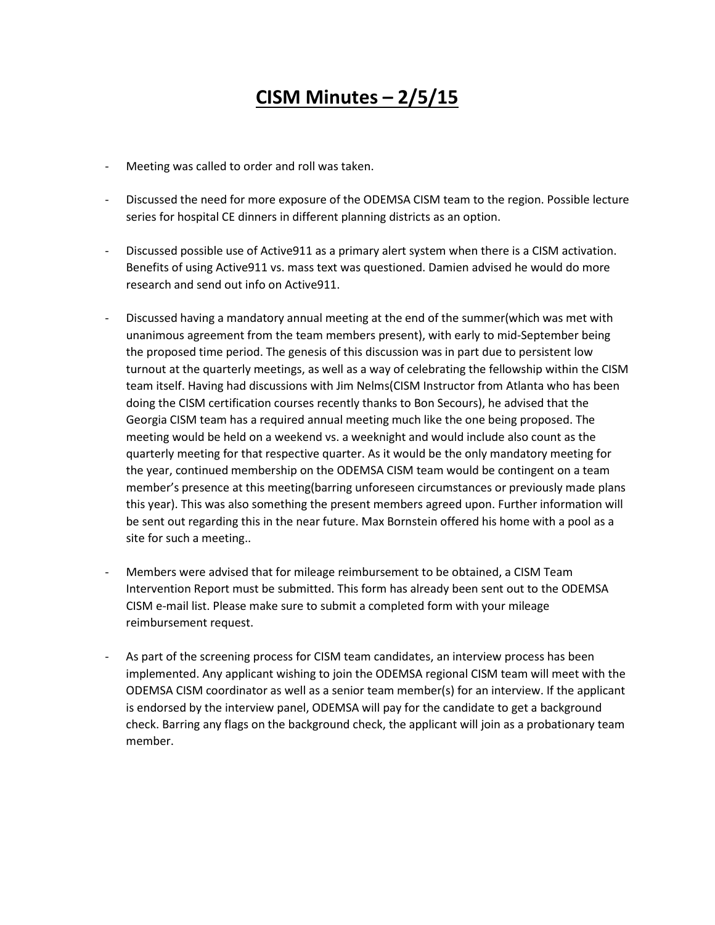## **CISM Minutes – 2/5/15**

- Meeting was called to order and roll was taken.
- Discussed the need for more exposure of the ODEMSA CISM team to the region. Possible lecture series for hospital CE dinners in different planning districts as an option.
- Discussed possible use of Active911 as a primary alert system when there is a CISM activation. Benefits of using Active911 vs. mass text was questioned. Damien advised he would do more research and send out info on Active911.
- Discussed having a mandatory annual meeting at the end of the summer(which was met with unanimous agreement from the team members present), with early to mid-September being the proposed time period. The genesis of this discussion was in part due to persistent low turnout at the quarterly meetings, as well as a way of celebrating the fellowship within the CISM team itself. Having had discussions with Jim Nelms(CISM Instructor from Atlanta who has been doing the CISM certification courses recently thanks to Bon Secours), he advised that the Georgia CISM team has a required annual meeting much like the one being proposed. The meeting would be held on a weekend vs. a weeknight and would include also count as the quarterly meeting for that respective quarter. As it would be the only mandatory meeting for the year, continued membership on the ODEMSA CISM team would be contingent on a team member's presence at this meeting(barring unforeseen circumstances or previously made plans this year). This was also something the present members agreed upon. Further information will be sent out regarding this in the near future. Max Bornstein offered his home with a pool as a site for such a meeting..
- Members were advised that for mileage reimbursement to be obtained, a CISM Team Intervention Report must be submitted. This form has already been sent out to the ODEMSA CISM e-mail list. Please make sure to submit a completed form with your mileage reimbursement request.
- As part of the screening process for CISM team candidates, an interview process has been implemented. Any applicant wishing to join the ODEMSA regional CISM team will meet with the ODEMSA CISM coordinator as well as a senior team member(s) for an interview. If the applicant is endorsed by the interview panel, ODEMSA will pay for the candidate to get a background check. Barring any flags on the background check, the applicant will join as a probationary team member.